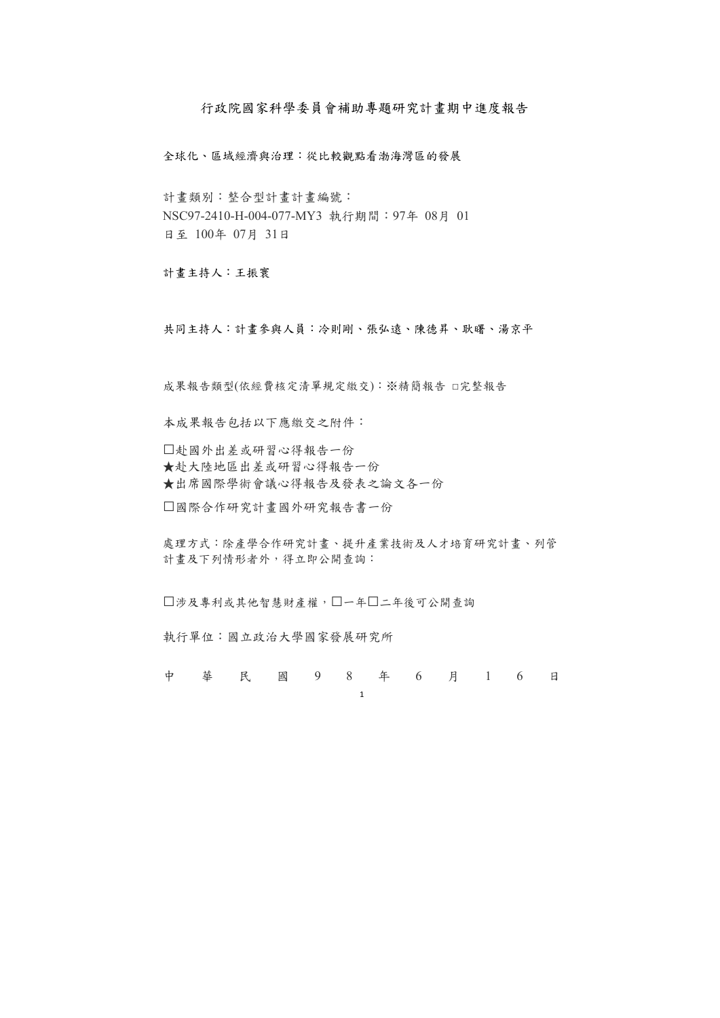1

# 行政院國家科學委員會補助專題研究計畫期中進度報告

全球化、區域經濟與治理:從比較觀點看渤海灣區的發展

計畫類別:整合型計畫計畫編號: NSC97-2410-H-004-077-MY3 執行期間:97年 08月 01 日至 100年 07月 31日

計畫主持人:王振寰

處理方式:除產學合作研究計畫、提升產業技術及人才培育研究計畫、列管 計畫及下列情形者外,得立即公開查詢:

□涉及專利或其他智慧財產權,□一年□二年後可公開查詢

共同主持人:計畫參與人員:冷則剛、張弘遠、陳德昇、耿曙、湯京平

成果報告類型(依經費核定清單規定繳交):※精簡報告 □完整報告

本成果報告包括以下應繳交之附件:

□赴國外出差或研習心得報告一份 ★赴大陸地區出差或研習心得報告一份 ★出席國際學術會議心得報告及發表之論文各一份

□國際合作研究計畫國外研究報告書一份

執行單位:國立政治大學國家發展研究所

中華民國 9 8 年 6 月 1 6 日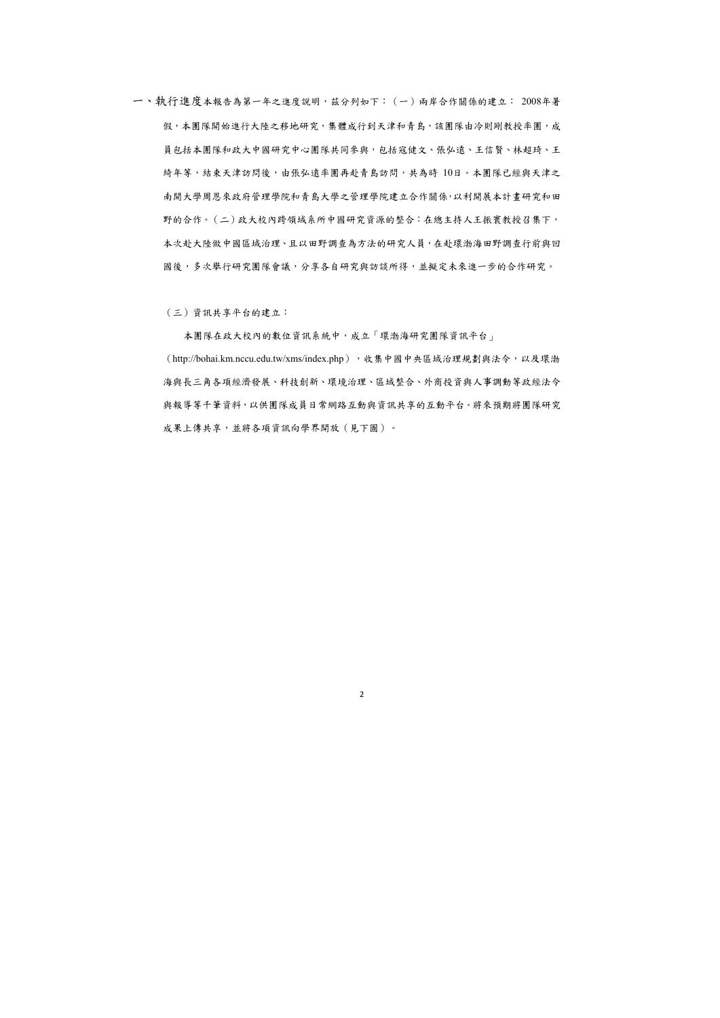一、執行進度本報告為第一年之進度說明,茲分列如下:(一)兩岸合作關係的建立: 2008年暑 假,本團隊開始進行大陸之移地研究,集體成行到天津和青島,該團隊由冷則剛教授率團,成 員包括本團隊和政大中國研究中心團隊共同參與,包括寇健文、張弘遠、王信賢、林超琦、王 綺年等,結束天津訪問後,由張弘遠率團再赴青島訪問,共為時 10日。本團隊已經與天津之 南開大學周恩來政府管理學院和青島大學之管理學院建立合作關係,以利開展本計畫研究和田 野的合作。(二)政大校內跨領域系所中國研究資源的整合:在總主持人王振寰教授召集下, 本次赴大陸做中國區域治理、且以田野調查為方法的研究人員,在赴環渤海田野調查行前與回 國後,多次舉行研究團隊會議,分享各自研究與訪談所得,並擬定未來進一步的合作研究。

(三)資訊共享平台的建立:

本團隊在政大校內的數位資訊系統中,成立「環渤海研究團隊資訊平台」 (http://bohai.km.nccu.edu.tw/xms/index.php),处集中國中央區域治理規劃與法令,以及環渤 海與長三角各項經濟發展、科技創新、環境治理、區域整合、外商投資與人事調動等政經法令 與報導等千筆資料,以供團隊成員日常網路互動與資訊共享的互動平台。將來預期將團隊研究 成果上傳共享,並將各項資訊向學界開放(見下圖)。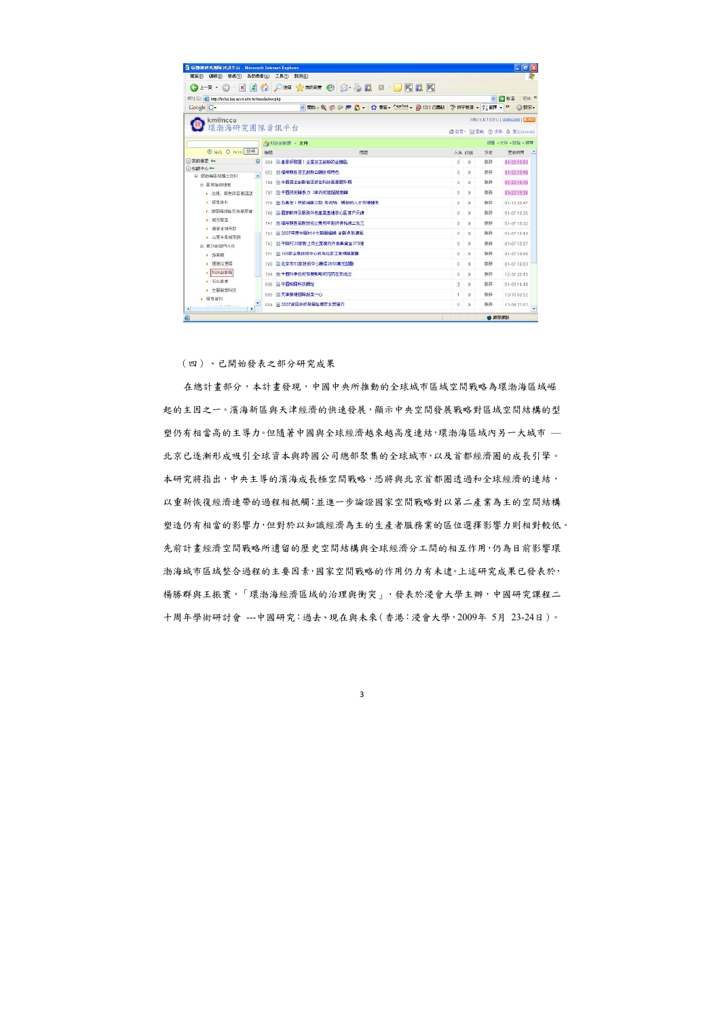| 編輯(E)<br>檢視(V)<br>檔案(F)                            | 我的最愛(A)   | 工具(I)<br>説明(H)                                |                |          |                    |                                    |
|----------------------------------------------------|-----------|-----------------------------------------------|----------------|----------|--------------------|------------------------------------|
| $\vert x \vert$<br>(一)上一頁 *                        | $\approx$ | $\circ$                                       |                |          |                    |                                    |
| http://bohai.km.nccu.edu.tw/xms/index.php<br>網址(D) |           |                                               |                |          | $\star$            | 主速結 ><br>→ 移至                      |
| Google G-                                          |           | ▼開始48 6 2 2 2 3 - ☆ 書籤▼ FageRank ▼ 图 1211 已開載 |                |          | → 拼字檢查 → 日 翻譯 → 22 | ◎ 設定▼                              |
| km@nccu                                            |           |                                               |                |          |                    | XMS 5.0.1031C   B008000801   N RSS |
| 環渤海研究團隊資訊平台                                        |           |                                               |                |          |                    | ☆首頁™ □重載 ② 求助 △ 登出(sysop)          |
|                                                    |           | 刘科技创新類 文件                                     |                |          |                    | 總覽 · 文件 · 討論 · 精華                  |
| ⊙ 站内 ○ nccu 搜寻                                     | 编银        | 標題                                            |                | 人氣討論     | 作者                 | 更新時間                               |
| 3我的最愛 o-<br>$\overline{\odot}$                     | 804       | 目 產學研聯盟:企業日主創新的金鑰點                            | $\Omega$       | $\Omega$ | 勝群                 | 01-22 15:53                        |
| ◎知識中心 0<br>□ 環渤海區域整合咨料<br>$\blacktriangle$         | 802       | 自 濱海新區 目主創新凸顯區域特色                             | O              | 0.       | 勝群                 | 01-22 15:49                        |
| □ 區域協商権制                                           | 799       | ■ 中國自主創新能否抓住科技重要躍升期                           | $\Omega$       | 'n       | <b>解録</b>          | 01-22 16:40                        |
| 法規、報告與官員講話                                         | 797       | ■ 中國技術競爭力 3年内可能超越南韓                           | O              | $\Omega$ | 勝群                 | 01-22 15:34                        |
| ▶ 報導咨料                                             | 770       | <b>目孔昌生:突破地區分割 形成統一開放的人才市場體系</b>              | $\theta$       | n        | 勝群                 | 01-15 20:47                        |
| 環渤海地區币長聯席會                                         | 748       | ■ 國家軟件及服務外包產業基地核心區落戶天津                        | $\theta$       | $\Omega$ | 装装                 | 01-07 18:35                        |
| 域市聯盟                                               | 747       | ■ 猪海新區 高新技術企業明年起所得稅減二免三                       | $\theta$       | n        | 勝群                 | 01-07 18:32                        |
| 遼寧省城市群                                             | 743       | ■ 2007年度中閣村十大新聞掲購 創新色彩濃厚                      | $\sqrt{ }$     | n        | 時鉄                 | $01 - 071810$                      |
| 山東半島城市群                                            |           | 742 目中開村20家新上市全業境内外募集資金375億                   | $\theta$       | 0        | 腾群                 | 01-07 18:07                        |
| 單功能部門合作<br>· 經管額                                   | 741       | 目 168家企業技術中心成為北京工業領題軍團                        | $\theta$       | n.       | 腾群                 | 01-07 18:05                        |
| 環境治理類                                              | 740       | ■ 北京市53家技術中心獲得2650萬元獎勵                        | 0              | 0        | 勝群                 | 01-07 18:03                        |
| 科技创新類                                              | 704       | ■ 中國科學技術發展戰略研究院在京成立                           | $\theta$       | $\Omega$ | 勝群                 | 12-31 20:15                        |
| ▶ 石化産業                                             | 690       | <b>自中國相關科技網址</b>                              | $\overline{2}$ | $\Omega$ | 勝群                 | $01 - 0314:48$                     |
| ▶ 生醫製藥科技                                           |           | 日天津泰達國際創業中心                                   |                | П        | 勝群                 | 12-10 00:52                        |
| ▶ 報導資料                                             | 685       |                                               | $\mathbf{1}$   |          |                    |                                    |
| $\blacktriangleright$                              |           | 684 目 2007首届技術發展論填在北京舉行                       | $\cap$         | $\Omega$ | 勝群                 | 12-09.22:02                        |

(四)、已開始發表之部分研究成果

在總計畫部分,本計畫發現,中國中央所推動的全球城市區域空間戰略為環渤海區域崛 起的主因之一。濱海新區與天津經濟的快速發展,顯示中央空間發展戰略對區域空間結構的型 塑仍有相當高的主導力。但隨著中國與全球經濟越來越高度連結,環渤海區域內另一大城市 — 北京已逐漸形成吸引全球資本與跨國公司總部聚集的全球城市,以及首都經濟圈的成長引擎。 本研究將指出,中央主導的濱海成長極空間戰略,恐將與北京首都圈透過和全球經濟的連結, 以重新恢復經濟連帶的過程相抵觸;並進一步論證國家空間戰略對以第二產業為主的空間結構 塑造仍有相當的影響力,但對於以知識經濟為主的生產者服務業的區位選擇影響力則相對較低。 先前計畫經濟空間戰略所遺留的歷史空間結構與全球經濟分工間的相互作用,仍為目前影響環 渤海城市區域整合過程的主要因素,國家空間戰略的作用仍力有未逮。上述研究成果已發表於, 楊勝群與王振寰,「環渤海經濟區域的治理與衝突」,發表於浸會大學主辦,中國研究課程二 十周年學術研討會 ---中國研究:過去、現在與未來(香港:浸會大學,2009年 5月 23-24日)。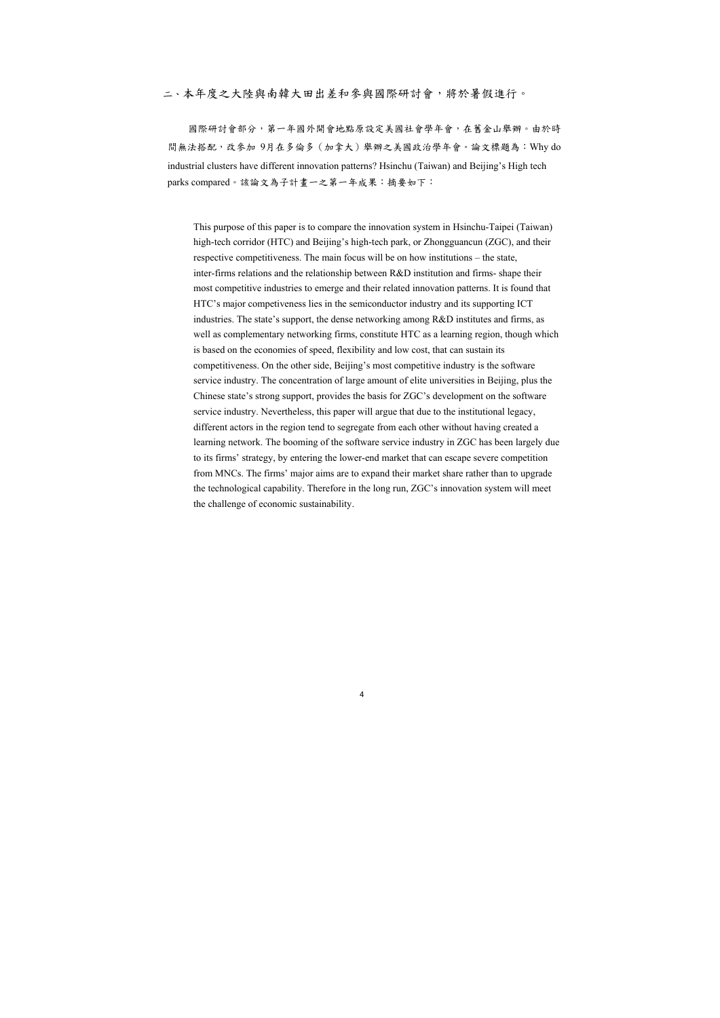## 二、本年度之大陸與南韓大田出差和參與國際研討會,將於暑假進行。

國際研討會部分,第一年國外開會地點原設定美國社會學年會,在舊金山舉辦。由於時 間無法搭配,改參加 9月在多倫多(加拿大)舉辦之美國政治學年會。論文標題為:Why do industrial clusters have different innovation patterns? Hsinchu (Taiwan) and Beijing's High tech parks compared。該論文為子計畫一之第一年成果:摘要如下:

This purpose of this paper is to compare the innovation system in Hsinchu-Taipei (Taiwan) high-tech corridor (HTC) and Beijing's high-tech park, or Zhongguancun (ZGC), and their respective competitiveness. The main focus will be on how institutions – the state, inter-firms relations and the relationship between R&D institution and firms- shape their most competitive industries to emerge and their related innovation patterns. It is found that HTC's major competiveness lies in the semiconductor industry and its supporting ICT industries. The state's support, the dense networking among R&D institutes and firms, as well as complementary networking firms, constitute HTC as a learning region, though which is based on the economies of speed, flexibility and low cost, that can sustain its competitiveness. On the other side, Beijing's most competitive industry is the software service industry. The concentration of large amount of elite universities in Beijing, plus the Chinese state's strong support, provides the basis for ZGC's development on the software service industry. Nevertheless, this paper will argue that due to the institutional legacy, different actors in the region tend to segregate from each other without having created a learning network. The booming of the software service industry in ZGC has been largely due to its firms' strategy, by entering the lower-end market that can escape severe competition from MNCs. The firms' major aims are to expand their market share rather than to upgrade the technological capability. Therefore in the long run, ZGC's innovation system will meet the challenge of economic sustainability.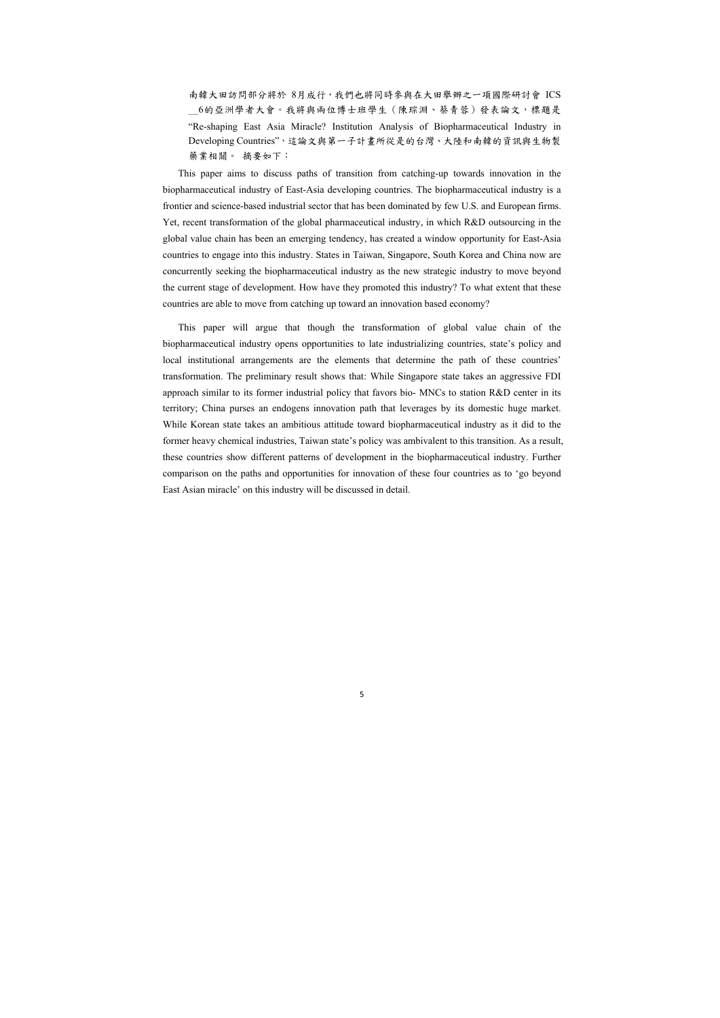南韓大田訪問部分將於 8月成行,我們也將同時參與在大田舉辦之一項國際研討會 ICS \_6的亞洲學者大會。我將與兩位博士班學生(陳琮淵、蔡青蓉)發表論文,標題是 "Re-shaping East Asia Miracle? Institution Analysis of Biopharmaceutical Industry in Developing Countries",這論文與第一子計畫所從是的台灣、大陸和南韓的資訊與生物製 藥業相關。 摘要如下:

This paper aims to discuss paths of transition from catching-up towards innovation in the biopharmaceutical industry of East-Asia developing countries. The biopharmaceutical industry is a frontier and science-based industrial sector that has been dominated by few U.S. and European firms. Yet, recent transformation of the global pharmaceutical industry, in which R&D outsourcing in the global value chain has been an emerging tendency, has created a window opportunity for East-Asia countries to engage into this industry. States in Taiwan, Singapore, South Korea and China now are concurrently seeking the biopharmaceutical industry as the new strategic industry to move beyond the current stage of development. How have they promoted this industry? To what extent that these countries are able to move from catching up toward an innovation based economy?

This paper will argue that though the transformation of global value chain of the biopharmaceutical industry opens opportunities to late industrializing countries, state's policy and local institutional arrangements are the elements that determine the path of these countries' transformation. The preliminary result shows that: While Singapore state takes an aggressive FDI approach similar to its former industrial policy that favors bio- MNCs to station R&D center in its territory; China purses an endogens innovation path that leverages by its domestic huge market. While Korean state takes an ambitious attitude toward biopharmaceutical industry as it did to the former heavy chemical industries, Taiwan state's policy was ambivalent to this transition. As a result, these countries show different patterns of development in the biopharmaceutical industry. Further comparison on the paths and opportunities for innovation of these four countries as to 'go beyond East Asian miracle' on this industry will be discussed in detail.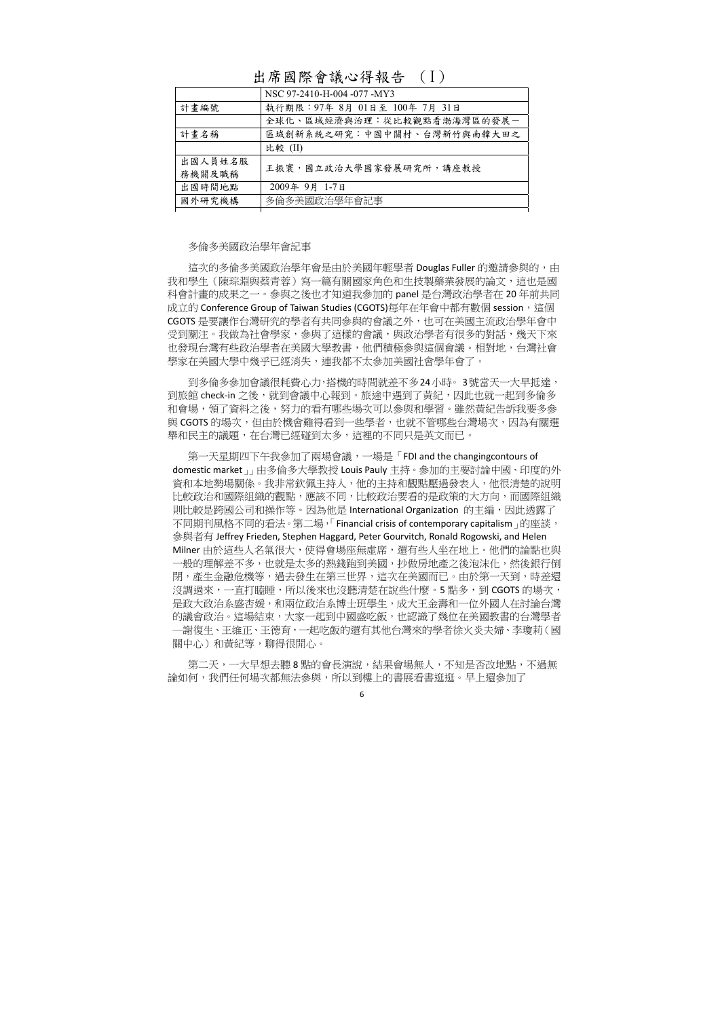### 多倫多美國政治學年會記事

這次的多倫多美國政治學年會是由於美國年輕學者 Douglas Fuller 的邀請參與的,由 我和學生(陳琮淵與蔡青蓉)寫一篇有關國家角色和生技製藥業發展的論文,這也是國 科會計畫的成果之一。參與之後也才知道我參加的 panel 是台灣政治學者在 20 年前共同 成立的 Conference Group of Taiwan Studies (CGOTS)每年在年會中都有數個 session,這個 CGOTS 是要讓作台灣研究的學者有共同參與的會議之外,也可在美國主流政治學年會中 受到關注。我做為社會學家,參與了這樣的會議,與政治學者有很多的對話,幾天下來 也發現台灣有些政治學者在美國大學教書,他們積極參與這個會議。相對地,台灣社會 學家在美國大學中幾乎已經消失,連我都不太參加美國社會學年會了。

到多倫多參加會議很耗費心力,搭機的時間就差不多24小時。 3號當天一大早抵達, 到旅館 check-in 之後,就到會議中心報到。旅途中遇到了黃紀,因此也就一起到多倫多 和會場,領了資料之後,努力的看有哪些場次可以參與和學習。雖然黃紀告訴我要多參 與 CGOTS 的場次,但由於機會難得看到一些學者,也就不管哪些台灣場次,因為有關選 舉和民主的議題,在台灣已經碰到太多,這裡的不同只是英文而已。

第一天星期四下午我參加了兩場會議,一場是「FDI and the changingcontours of domestic market」」由多倫多大學教授 Louis Pauly 主持。參加的主要討論中國、印度的外 資和本地勢場關係。我非常欽佩主持人,他的主持和觀點壓過發表人,他很清楚的說明 比較政治和國際組織的觀點,應該不同,比較政治要看的是政策的大方向,而國際組織 則比較是跨國公司和操作等。因為他是 International Organization 的主編,因此透露了 不同期刊風格不同的看法。第二場, 「Financial crisis of contemporary capitalism」的座談, 參與者有 Jeffrey Frieden, Stephen Haggard, Peter Gourvitch, Ronald Rogowski, and Helen Milner 由於這些人名氣很大,使得會場座無虛席,還有些人坐在地上。他們的論點也與 一般的理解差不多,也就是太多的熱錢跑到美國,抄做房地產之後泡沫化,然後銀行倒 閉,產生金融危機等,過去發生在第三世界,這次在美國而已。由於第一天到,時差還 沒調過來,一直打瞌睡,所以後來也沒聽清楚在說些什麼。5 點多,到 CGOTS 的場次, 是政大政治系盛杏媛,和兩位政治系博士班學生,成大王金壽和一位外國人在討論台灣 的議會政治。這場結束,大家一起到中國盛吃飯,也認識了幾位在美國教書的台灣學者 ─謝復生、王維正、王德育,一起吃飯的還有其他台灣來的學者徐火炎夫婦、李瓊莉(國 關中心)和黃紀等,聊得很開心。

第二天,一大早想去聽 8 點的會長演說,結果會場無人,不知是否改地點,不過無 論如何,我們任何場次都無法參與,所以到樓上的書展看書逛逛。早上還參加了

# 出席國際會議心得報告 (I)

|                   | NSC 97-2410-H-004 -077 -MY3   |
|-------------------|-------------------------------|
| 計畫編號              | 執行期限: 97年 8月 01日至 100年 7月 31日 |
|                   | 全球化、區域經濟與治理:從比較觀點看渤海灣區的發展一    |
| 計畫名稱              | 區域創新系統之研究:中國中關村、台灣新竹與南韓大田之    |
|                   | 比較 (II)                       |
| 出國人員姓名服<br>務機關及職稱 | 王振寰,國立政治大學國家發展研究所,講座教授        |
| 出國時間地點            | 2009年 9月 1-7日                 |
| 國外研究機構            | 多倫多美國政治學年會記事                  |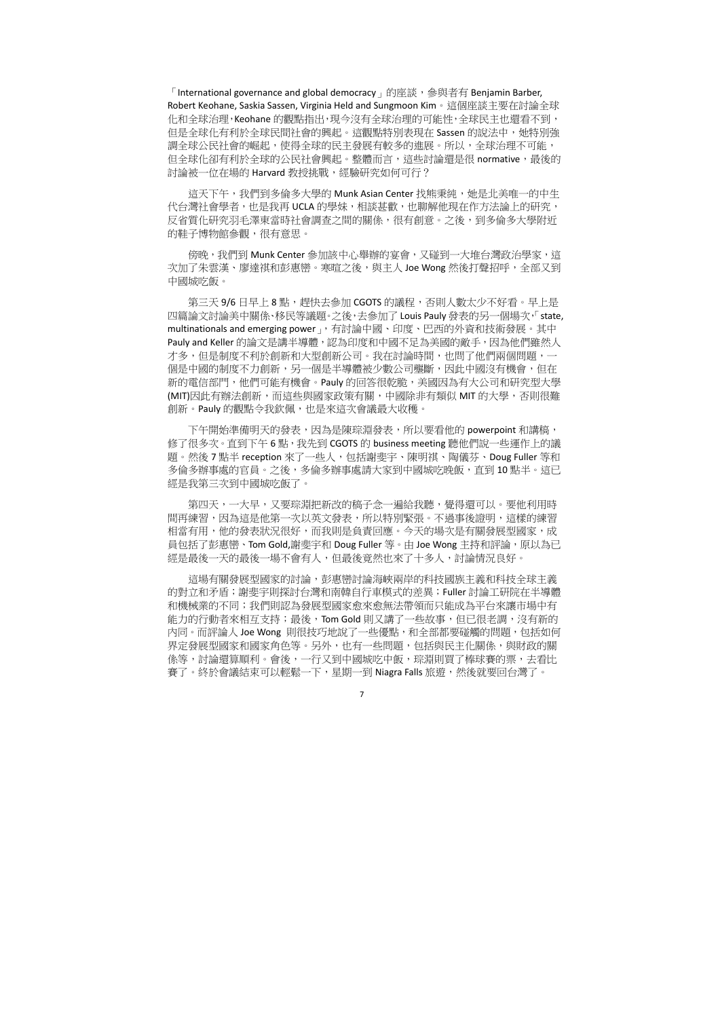「International governance and global democracy  $_1$  的座談, 參與者有 Benjamin Barber, Robert Keohane, Saskia Sassen, Virginia Held and Sungmoon Kim。這個座談主要在討論全球 化和全球治理,Keohane 的觀點指出,現今沒有全球治理的可能性,全球民主也還看不到, 但是全球化有利於全球民間社會的興起。這觀點特別表現在 Sassen 的說法中,她特別強 調全球公民社會的崛起,使得全球的民主發展有較多的進展。所以,全球治理不可能, 但全球化卻有利於全球的公民社會興起。整體而言,這些討論還是很 normative,最後的 討論被一位在場的 Harvard 教授挑戰,經驗研究如何可行?

這天下午,我們到多倫多大學的 Munk Asian Center 找熊秉純,她是北美唯一的中生 代台灣社會學者,也是我再 UCLA 的學妹,相談甚歡,也聊解他現在作方法論上的研究, 反省質化研究羽毛澤東當時社會調查之間的關係,很有創意。之後,到多倫多大學附近 的鞋子博物館參觀,很有意思。

第三天 9/6 日早上 8 點,趕快去參加 CGOTS 的議程,否則人數太少不好看。早上是 四篇論文討論美中關係、移民等議題。之後,去參加了 Louis Pauly 發表的另一個場次,「state, multinationals and emerging power」, 有討論中國、印度、巴西的外資和技術發展。其中 Pauly and Keller 的論文是講半導體,認為印度和中國不足為美國的敵手,因為他們雖然人 才多,但是制度不利於創新和大型創新公司。我在討論時間,也問了他們兩個問題,一 個是中國的制度不力創新,另一個是半導體被少數公司壟斷,因此中國沒有機會,但在 新的電信部門,他們可能有機會。Pauly 的回答很乾脆,美國因為有大公司和研究型大學 (MIT)因此有辦法創新,而這些與國家政策有關,中國除非有類似 MIT 的大學,否則很難 創新。Pauly 的觀點令我欽佩,也是來這次會議最大收穫。

傍晚,我們到 Munk Center 參加該中心舉辦的宴會,又碰到一大堆台灣政治學家,這 次加了朱雲漢、廖達祺和彭惠巒。寒暄之後,與主人 Joe Wong 然後打聲招呼,全部又到 中國城吃飯。

下午開始準備明天的發表,因為是陳琮淵發表,所以要看他的 powerpoint 和講稿, 修了很多次。直到下午 6 點,我先到 CGOTS 的 business meeting 聽他們說一些運作上的議 題。然後7點半 reception 來了一些人,包括謝斐宇、陳明祺、陶儀芬、Doug Fuller 等和 多倫多辦事處的官員。之後,多倫多辦事處請大家到中國城吃晚飯,直到 10 點半。這已 經是我第三次到中國城吃飯了。

第四天,一大早,又要琮淵把新改的稿子念一遍給我聽,覺得還可以。要他利用時 間再練習,因為這是他第一次以英文發表,所以特別緊張。不過事後證明,這樣的練習 相當有用,他的發表狀況很好,而我則是負責回應。今天的場次是有關發展型國家,成 員包括了彭惠巒、Tom Gold,謝斐宇和 Doug Fuller 等。由 Joe Wong 主持和評論,原以為已 經是最後一天的最後一場不會有人,但最後竟然也來了十多人,討論情況良好。

這場有關發展型國家的討論,彭惠巒討論海峽兩岸的科技國族主義和科技全球主義 的對立和矛盾;謝斐宇則探討台灣和南韓自行車模式的差異;Fuller 討論工研院在半導體 和機械業的不同;我們則認為發展型國家愈來愈無法帶領而只能成為平台來讓市場中有 能力的行動者來相互支持;最後,Tom Gold 則又講了一些故事,但已很老調,沒有新的 內同。而評論人 Joe Wong 則很技巧地說了一些優點,和全部都要碰觸的問題,包括如何 界定發展型國家和國家角色等。另外,也有一些問題,包括與民主化關係,與財政的關 係等,討論還算順利。會後,一行又到中國城吃中飯,琮淵則買了棒球賽的票,去看比 賽了。終於會議結束可以輕鬆一下,星期一到 Niagra Falls 旅遊,然後就要回台灣了。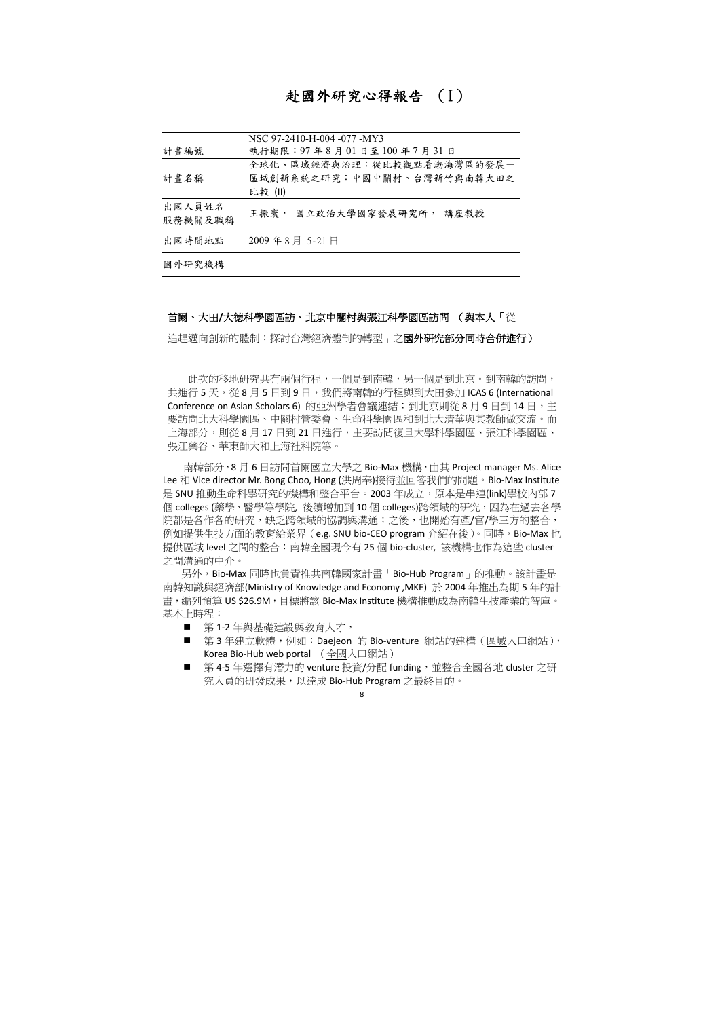# 赴國外研究心得報告 (I)

| 計畫編號              | NSC 97-2410-H-004 -077 -MY3<br>執行期限: 97年8月01日至100年7月31日             |
|-------------------|---------------------------------------------------------------------|
| 計畫名稱              | 全球化、區域經濟與治理:從比較觀點看渤海灣區的發展一<br>區域創新系統之研究:中國中關村、台灣新竹與南韓大田之<br>比較 (II) |
| 出國人員姓名<br>服務機關及職稱 | 王振寰, 國立政治大學國家發展研究所,<br>講座教授                                         |
| 出國時間地點            | 2009年8月 5-21日                                                       |
| 國外研究機構            |                                                                     |

## 首爾、大田**/**大德科學園區訪、北京中關村與張江科學園區訪問 (與本人「從

追趕邁向創新的體制:探討台灣經濟體制的轉型」之**國外研究部分同時合併進行)** 

此次的移地研究共有兩個行程,一個是到南韓,另一個是到北京。到南韓的訪問, 共進行 5 天,從 8 月 5 日到 9 日,我們將南韓的行程與到大田參加 ICAS 6 (International Conference on Asian Scholars 6) 的亞洲學者會議連結;到北京則從 8 月 9 日到 14 日,主 要訪問北大科學園區、中關村管委會、生命科學園區和到北大清華與其教師做交流。而 上海部分,則從 8 月 17 日到 21 日進行,主要訪問復旦大學科學園區、張江科學園區、 張江藥谷、華東師大和上海社科院等。

南韓部分,8月6日訪問首爾國立大學之 Bio-Max 機構,由其 Project manager Ms. Alice Lee 和 Vice director Mr. Bong Choo, Hong (洪周奉)接待並回答我們的問題。Bio‐Max Institute 是 SNU 推動生命科學研究的機構和整合平台。2003 年成立,原本是串連(link)學校內部 7 個 colleges (藥學、醫學等學院, 後續增加到 10 個 colleges)跨領域的研究,因為在過去各學 院都是各作各的研究,缺乏跨領域的協調與溝通;之後,也開始有產/官/學三方的整合, 例如提供生技方面的教育給業界 (e.g. SNU bio‐CEO program 介紹在後)。同時,Bio‐Max 也 提供區域 level 之間的整合: 南韓全國現今有 25 個 bio-cluster, 該機構也作為這些 cluster 之間溝通的中介。

- 第1-2年與基礎建設與教育人才,
- 第3年建立軟體,例如:Daejeon 的 Bio-venture 網站的建構(<u>區域</u>入口網站), Korea Bio‐Hub web portal (全國入口網站)
- 第 4-5 年選擇有潛力的 venture 投資/分配 funding, 並整合全國各地 cluster 之研 究人員的研發成果,以達成 Bio‐Hub Program 之最終目的。

另外,Bio‐Max 同時也負責推共南韓國家計畫「Bio‐Hub Program」的推動。該計畫是 南韓知識與經濟部(Ministry of Knowledge and Economy ,MKE) 於 2004 年推出為期 5 年的計 畫,編列預算 US \$26.9M, 目標將該 Bio-Max Institute 機構推動成為南韓生技產業的智庫。 基本上時程: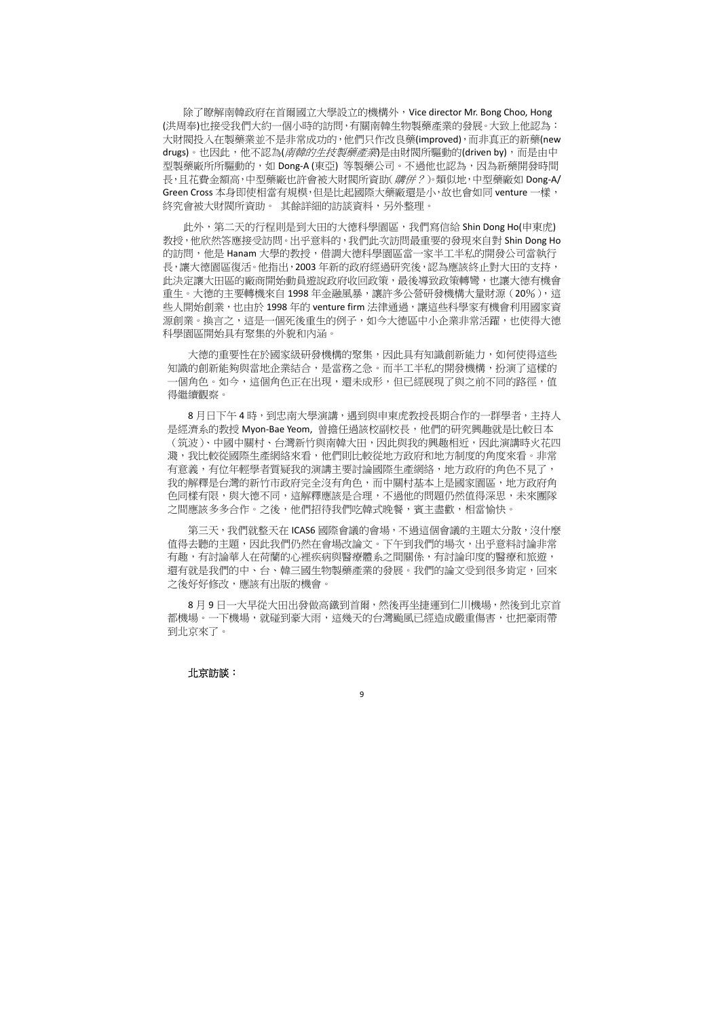除了瞭解南韓政府在首爾國立大學設立的機構外,Vice director Mr. Bong Choo, Hong (洪周奉)也接受我們大約一個小時的訪問,有關南韓生物製藥產業的發展。大致上他認為: 大財閥投入在製藥業並不是非常成功的,他們只作改良藥(improved),而非真正的新藥(new drugs)。也因此,他不認為(*南韓的生技製藥產業*)是由財閥所驅動的(driven by),而是由中 型製藥廠所所驅動的,如 Dong-A (東亞) 等製藥公司。不過他也認為,因為新藥開發時間 長,且花費金額高,中型藥廠也許會被大財閥所資助(*購併?*)。類似地,中型藥廠如 Dong-A/ Green Cross 本身即使相當有規模,但是比起國際大藥廠還是小,故也會如同 venture 一樣, 終究會被大財閥所資助。 其餘詳細的訪談資料,另外整理。

大德的重要性在於國家級研發機構的聚集,因此具有知識創新能力,如何使得這些 知識的創新能夠與當地企業結合,是當務之急。而半工半私的開發機構,扮演了這樣的 一個角色。如今,這個角色正在出現,還未成形,但已經展現了與之前不同的路徑,值 得繼續觀察。

8月日下午4時,到忠南大學演講,遇到與申東虎教授長期合作的一群學者,主持人 是經濟系的教授 Myon-Bae Yeom, 曾擔任過該校副校長, 他們的研究興趣就是比較日本 (筑波)、中國中關村、台灣新竹與南韓大田,因此與我的興趣相近,因此演講時火花四 濺,我比較從國際生產網絡來看,他們則比較從地方政府和地方制度的角度來看。非常 有意義,有位年輕學者質疑我的演講主要討論國際生產網絡,地方政府的角色不見了, 我的解釋是台灣的新竹市政府完全沒有角色,而中關村基本上是國家園區,地方政府角 色同樣有限,與大德不同,這解釋應該是合理,不過他的問題仍然值得深思,未來團隊 之間應該多多合作。之後,他們招待我們吃韓式晚餐,賓主盡歡,相當愉快。

此外,第二天的行程則是到大田的大德科學園區,我們寫信給 Shin Dong Ho(申東虎) 教授,他欣然答應接受訪問。出乎意料的,我們此次訪問最重要的發現來自對 Shin Dong Ho 的訪問,他是 Hanam 大學的教授,借調大德科學園區當一家半工半私的開發公司當執行 長,讓大德園區復活。他指出,2003 年新的政府經過研究後,認為應該終止對大田的支持, 此決定讓大田區的廠商開始動員遊說政府收回政策,最後導致政策轉彎,也讓大德有機會 重生。大德的主要轉機來自 1998年金融風暴,讓許多公營研發機構大量財源 (20%), 這 些人開始創業,也由於 1998年的 venture firm 法律通過,讓這些科學家有機會利用國家資 源創業。換言之,這是一個死後重生的例子,如今大德區中小企業非常活躍,也使得大德 科學園區開始具有聚集的外貌和內涵。

第三天,我們就整天在 ICAS6 國際會議的會場,不過這個會議的主題太分散,沒什麼 值得去聽的主題,因此我們仍然在會場改論文。下午到我們的場次,出乎意料討論非常 有趣,有討論華人在荷蘭的心裡疾病與醫療體系之間關係,有討論印度的醫療和旅遊, 還有就是我們的中、台、韓三國生物製藥產業的發展。我們的論文受到很多肯定,回來 之後好好修改,應該有出版的機會。

8 月 9 日一大早從大田出發做高鐵到首爾,然後再坐捷運到仁川機場,然後到北京首 都機場。一下機場,就碰到豪大雨,這幾天的台灣颱風已經造成嚴重傷害,也把豪雨帶 到北京來了。

#### 北京訪談: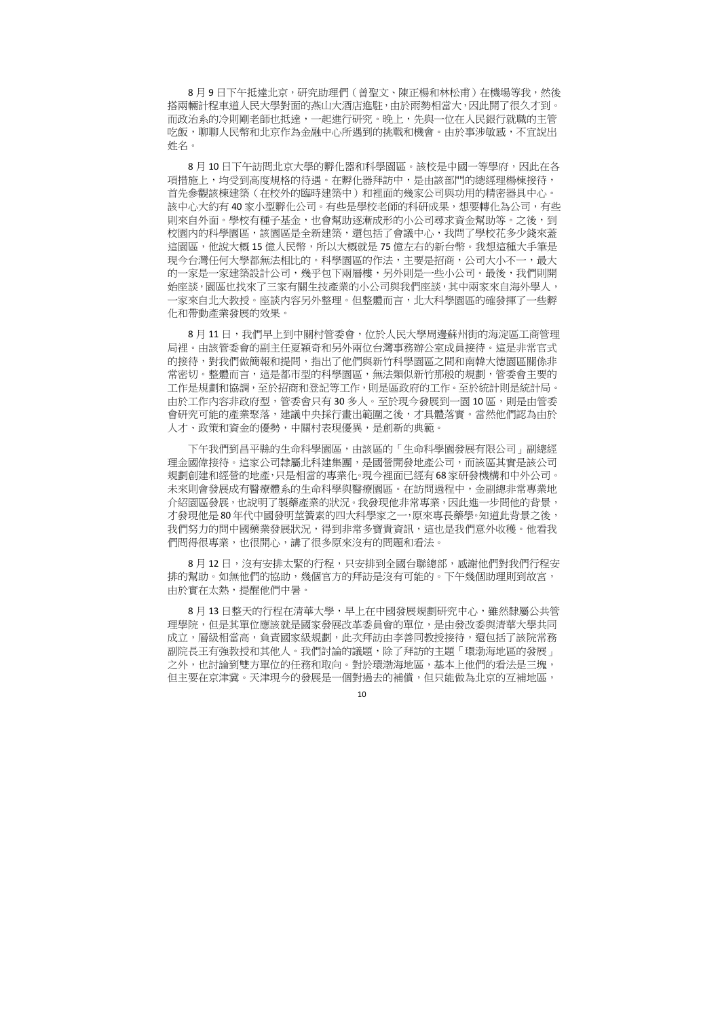8月9日下午抵達北京,研究助理們(曾聖文、陳正楊和林松甫)在機場等我,然後 搭兩輛計程車道人民大學對面的燕山大酒店進駐,由於雨勢相當大,因此開了很久才到。 而政治系的冷則剛老師也抵達,一起進行研究。晚上,先與一位在人民銀行就職的主管 吃飯,聊聊人民幣和北京作為金融中心所遇到的挑戰和機會。由於事涉敏感,不宜說出 姓名。

8月10日下午訪問北京大學的孵化器和科學園區。該校是中國一等學府,因此在各 項措施上,均受到高度規格的待遇。在孵化器拜訪中,是由該部門的總經理楊棟接待, 首先參觀該棟建築(在校外的臨時建築中)和裡面的幾家公司與功用的精密器具中心。 該中心大約有 40 家小型孵化公司。有些是學校老師的科研成果,想要轉化為公司,有些 則來自外面。學校有種子基金,也會幫助逐漸成形的小公司尋求資金幫助等。之後,到 校園內的科學園區,該園區是全新建築,還包括了會議中心,我問了學校花多少錢來蓋 這園區,他說大概 15 億人民幣,所以大概就是 75 億左右的新台幣。我想這種大手筆是 現今台灣任何大學都無法相比的。科學園區的作法,主要是招商,公司大小不一,最大 的一家是一家建築設計公司,幾乎包下兩層樓,另外則是一些小公司。最後,我們則開 始座談,園區也找來了三家有關生技產業的小公司與我們座談,其中兩家來自海外學人, 一家來自北大教授。座談內容另外整理。但整體而言,北大科學園區的確發揮了一些孵 化和帶動產業發展的效果。

8月11日,我們早上到中關村管委會,位於人民大學周邊蘇州街的海淀區工商管理 局裡。由該管委會的副主任夏穎奇和另外兩位台灣事務辦公室成員接待。這是非常官式 的接待,對我們做簡報和提問,指出了他們與新竹科學園區之間和南韓大德園區關係非 常密切。整體而言,這是都市型的科學園區,無法類似新竹那般的規劃,管委會主要的 工作是規劃和協調,至於招商和登記等工作,則是區政府的工作。至於統計則是統計局。 由於工作內容非政府型,管委會只有 30 多人。至於現今發展到一園 10 區,則是由管委 會研究可能的產業聚落,建議中央採行畫出範圍之後,才具體落實。當然他們認為由於 人才、政策和資金的優勢,中關村表現優異,是創新的典範。

8月12日,沒有安排太緊的行程,只安排到全國台聯總部,感謝他們對我們行程安 排的幫助。如無他們的協助,幾個官方的拜訪是沒有可能的。下午幾個助理則到故宮, 由於實在太熱,提醒他們中暑。

8 月 13 日整天的行程在清華大學,早上在中國發展規劃研究中心,雖然隸屬公共管 理學院,但是其單位應該就是國家發展改革委員會的單位,是由發改委與清華大學共同 成立,層級相當高,負責國家級規劃,此次拜訪由李善同教授接待,還包括了該院常務 副院長王有強教授和其他人。我們討論的議題,除了拜訪的主題「環渤海地區的發展」 之外,也討論到雙方單位的任務和取向。對於環渤海地區,基本上他們的看法是三塊, 但主要在京津冀。天津現今的發展是一個對過去的補償,但只能做為北京的互補地區,

下午我們到昌平縣的生命科學園區,由該區的「生命科學園發展有限公司」副總經 理金國偉接待。這家公司隸屬北科建集團,是國營開發地產公司,而該區其實是該公司 規劃創建和經營的地產,只是相當的專業化。現今裡面已經有 68 家研發機構和中外公司。 未來則會發展成有醫療體系的生命科學與醫療園區。在訪問過程中,金副總非常專業地 介紹園區發展,也說明了製藥產業的狀況。我發現他非常專業,因此進一步問他的背景, 才發現他是 80 年代中國發明莖簧素的四大科學家之一,原來專長藥學。知道此背景之後, 我們努力的問中國藥業發展狀況,得到非常多寶貴資訊,這也是我們意外收穫。他看我 們問得很專業,也很開心,講了很多原來沒有的問題和看法。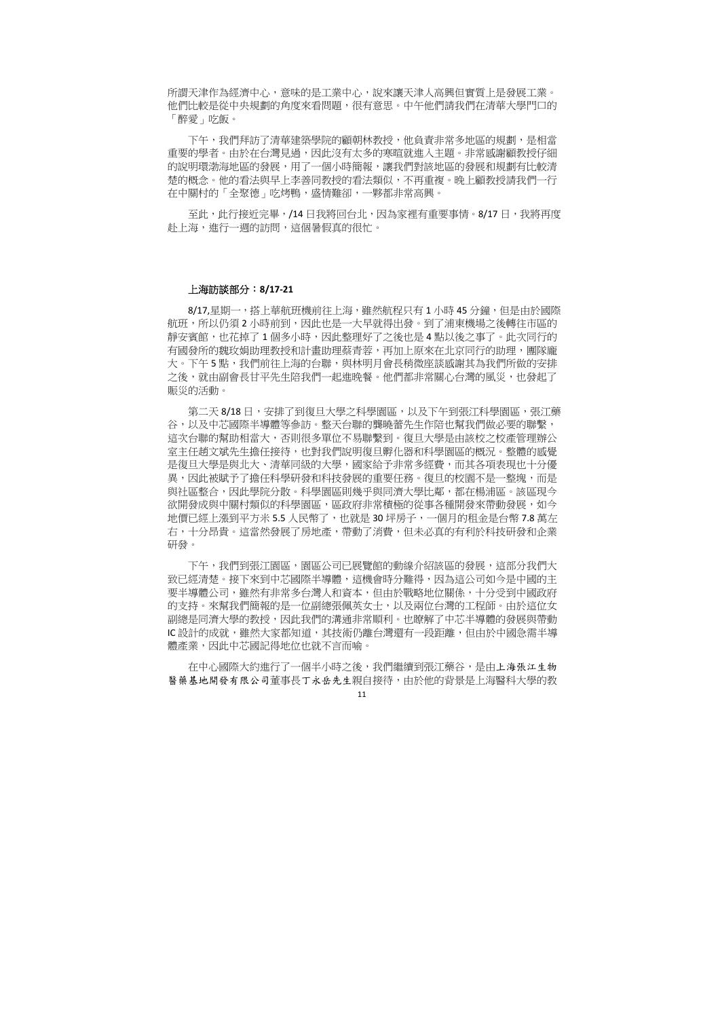所謂天津作為經濟中心,意味的是工業中心,說來讓天津人高興但實質上是發展工業。 他們比較是從中央規劃的角度來看問題,很有意思。中午他們請我們在清華大學門口的 「醉愛」吃飯。

下午,我們拜訪了清華建築學院的顧朝林教授,他負責非常多地區的規劃,是相當 重要的學者。由於在台灣見過,因此沒有太多的寒暄就進入主題。非常感謝顧教授仔細 的說明環渤海地區的發展,用了一個小時簡報,讓我們對該地區的發展和規劃有比較清 楚的概念。他的看法與早上李善同教授的看法類似,不再重複。晚上顧教授請我們一行 在中關村的「全聚德」吃烤鴨,盛情難卻,一夥都非常高興。

至此,此行接近完畢,/14 日我將回台北,因為家裡有重要事情。8/17 日,我將再度 赴上海,進行一週的訪問,這個暑假真的很忙。

8/17,星期一,搭上華航班機前往上海,雖然航程只有 1 小時 45 分鐘,但是由於國際 航班,所以仍須 2 小時前到,因此也是一大早就得出發。到了浦東機場之後轉往市區的 靜安賓館,也花掉了 1 個多小時,因此整理好了之後也是 4 點以後之事了。此次同行的 有國發所的魏玫娟助理教授和計畫助理蔡青蓉,再加上原來在北京同行的助理,團隊龐 大。下午 5 點,我們前往上海的台聯,與林明月會長稍微座談感謝其為我們所做的安排 之後,就由副會長甘平先生陪我們一起進晚餐。他們都非常關心台灣的風災,也發起了 賑災的活動。

### 上海訪談部分:**8/17‐21**

第二天 8/18 日,安排了到復旦大學之科學園區,以及下午到張江科學園區,張江藥 谷,以及中芯國際半導體等參訪。整天台聯的龔曉蕾先生作陪也幫我們做必要的聯繫, 這次台聯的幫助相當大,否則很多單位不易聯繫到。復旦大學是由該校之校產管理辦公 室主任趙文斌先生擔任接待,也對我們說明復旦孵化器和科學園區的概況。整體的感覺 是復旦大學是與北大、清華同級的大學,國家給予非常多經費,而其各項表現也十分優 異,因此被賦予了擔任科學研發和科技發展的重要任務。復旦的校園不是一整塊,而是 與社區整合,因此學院分散。科學園區則幾乎與同濟大學比鄰,都在楊浦區。該區現今 欲開發成與中關村類似的科學園區,區政府非常積極的從事各種開發來帶動發展,如今 地價已經上漲到平方米 5.5 人民幣了,也就是 30 坪房子,一個月的租金是台幣 7.8 萬左 右,十分昂貴。這當然發展了房地產,帶動了消費,但未必真的有利於科技研發和企業 研發。

下午,我們到張江園區,園區公司已展覽館的動線介紹該區的發展,這部分我們大 致已經清楚。接下來到中芯國際半導體,這機會時分難得,因為這公司如今是中國的主 要半導體公司,雖然有非常多台灣人和資本,但由於戰略地位關係,十分受到中國政府 的支持。來幫我們簡報的是一位副總張佩英女士,以及兩位台灣的工程師。由於這位女 副總是同濟大學的教授,因此我們的溝通非常順利。也瞭解了中芯半導體的發展與帶動 IC 設計的成就,雖然大家都知道,其技術仍離台灣還有一段距離,但由於中國急需半導 體產業,因此中芯國記得地位也就不言而喻。

在中心國際大約進行了一個半小時之後,我們繼續到張江藥谷,是由上海張江生物 醫藥基地開發有限公司董事長丁永岳先生親自接待,由於他的背景是上海醫科大學的教